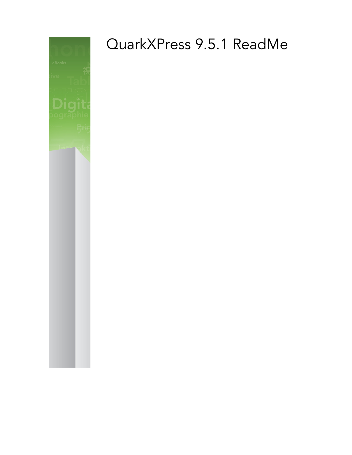

# QuarkXPress 9.5.1 ReadMe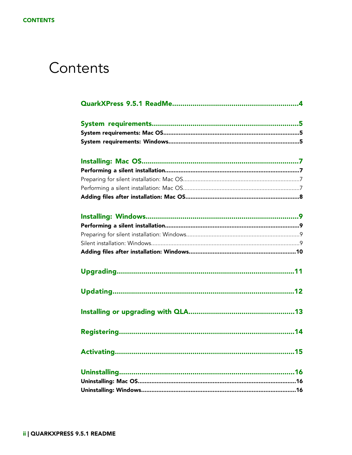### Contents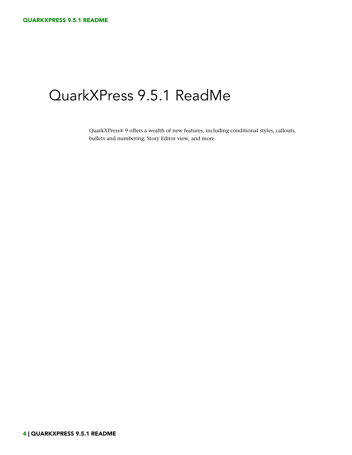### <span id="page-3-0"></span>QuarkXPress 9.5.1 ReadMe

QuarkXPress® 9 offers a wealth of new features, including conditional styles, callouts, bullets and numbering, Story Editor view, and more.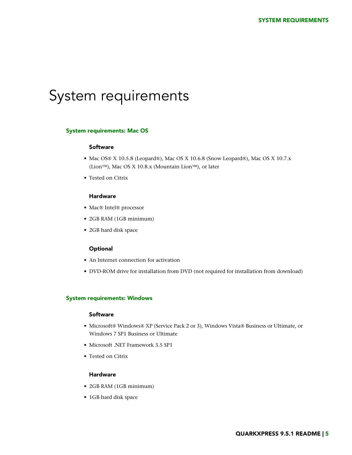### <span id="page-4-0"></span>System requirements

#### <span id="page-4-1"></span>System requirements: Mac OS

#### Software

- Mac OS® X 10.5.8 (Leopard®), Mac OS X 10.6.8 (Snow Leopard®), Mac OS X 10.7.x (Lion™), Mac OS X 10.8.x (Mountain Lion™), or later
- Tested on Citrix

#### Hardware

- Mac® Intel® processor
- 2GB RAM (1GB minimum)
- 2GB hard disk space

#### **Optional**

- An Internet connection for activation
- <span id="page-4-2"></span>• DVD-ROM drive for installation from DVD (not required for installation from download)

#### System requirements: Windows

#### Software

- Microsoft® Windows® XP (Service Pack 2 or 3), Windows Vista® Business or Ultimate, or Windows 7 SP1 Business or Ultimate
- Microsoft .NET Framework 3.5 SP1
- Tested on Citrix

#### **Hardware**

- 2GB RAM (1GB minimum)
- 1GB hard disk space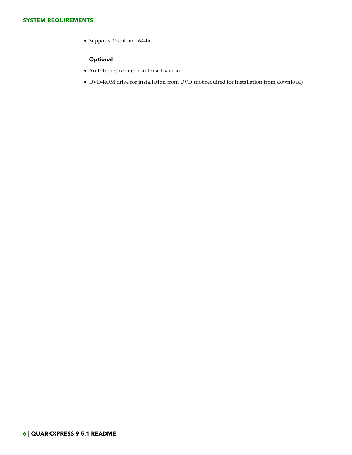#### SYSTEM REQUIREMENTS

• Supports 32-bit and 64-bit

#### **Optional**

- An Internet connection for activation
- DVD-ROM drive for installation from DVD (not required for installation from download)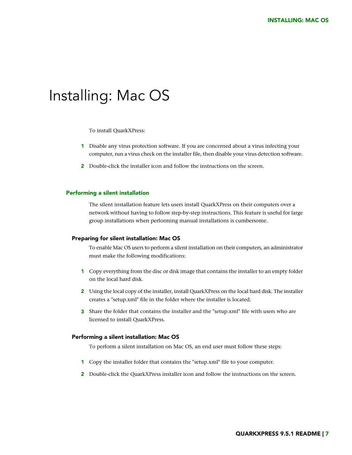### <span id="page-6-0"></span>Installing: Mac OS

To install QuarkXPress:

- 1 Disable any virus protection software. If you are concerned about a virus infecting your computer, run a virus check on the installer file, then disable your virus detection software.
- 2 Double-click the installer icon and follow the instructions on the screen.

#### <span id="page-6-2"></span><span id="page-6-1"></span>Performing a silent installation

The silent installation feature lets users install QuarkXPress on their computers over a network without having to follow step-by-step instructions. This feature is useful for large group installations when performing manual installations is cumbersome.

#### Preparing for silent installation: Mac OS

To enable Mac OS users to perform a silent installation on their computers, an administrator must make the following modifications:

- 1 Copy everything from the disc or disk image that contains the installer to an empty folder on the local hard disk.
- 2 Using the local copy of the installer, install QuarkXPress on the local hard disk. The installer creates a "setup.xml" file in the folder where the installer is located.
- <span id="page-6-3"></span>3 Share the folder that contains the installer and the "setup.xml" file with users who are licensed to install QuarkXPress.

#### Performing a silent installation: Mac OS

To perform a silent installation on Mac OS, an end user must follow these steps:

- 1 Copy the installer folder that contains the "setup.xml" file to your computer.
- 2 Double-click the QuarkXPress installer icon and follow the instructions on the screen.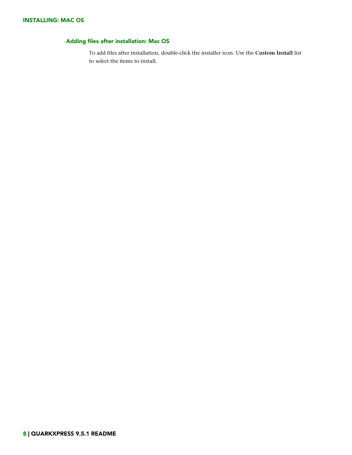#### <span id="page-7-0"></span>Adding files after installation: Mac OS

To add files after installation, double-click the installer icon. Use the **Custom Install** list to select the items to install.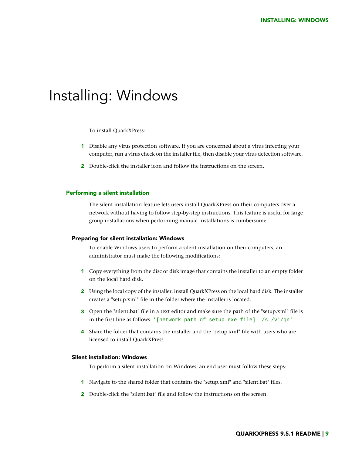### <span id="page-8-0"></span>Installing: Windows

To install QuarkXPress:

- 1 Disable any virus protection software. If you are concerned about a virus infecting your computer, run a virus check on the installer file, then disable your virus detection software.
- 2 Double-click the installer icon and follow the instructions on the screen.

#### <span id="page-8-2"></span><span id="page-8-1"></span>Performing a silent installation

The silent installation feature lets users install QuarkXPress on their computers over a network without having to follow step-by-step instructions. This feature is useful for large group installations when performing manual installations is cumbersome.

#### Preparing for silent installation: Windows

To enable Windows users to perform a silent installation on their computers, an administrator must make the following modifications:

- 1 Copy everything from the disc or disk image that contains the installer to an empty folder on the local hard disk.
- 2 Using the local copy of the installer, install QuarkXPress on the local hard disk. The installer creates a "setup.xml" file in the folder where the installer is located.
- <span id="page-8-3"></span>3 Open the "silent.bat" file in a text editor and make sure the path of the "setup.xml" file is in the first line as follows: '[network path of setup.exe file]' /s /v'/qn'
- 4 Share the folder that contains the installer and the "setup.xml" file with users who are licensed to install QuarkXPress.

#### Silent installation: Windows

To perform a silent installation on Windows, an end user must follow these steps:

- 1 Navigate to the shared folder that contains the "setup.xml" and "silent.bat" files.
- 2 Double-click the "silent.bat" file and follow the instructions on the screen.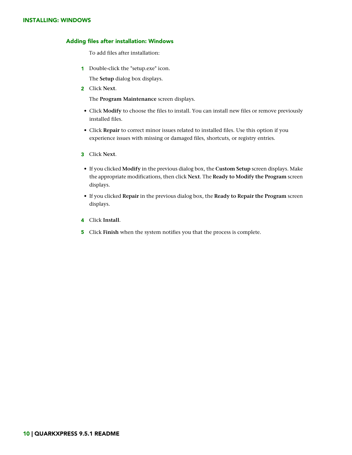#### INSTALLING: WINDOWS

#### <span id="page-9-0"></span>Adding files after installation: Windows

To add files after installation:

1 Double-click the "setup.exe" icon.

The **Setup** dialog box displays.

2 Click **Next**.

The **Program Maintenance** screen displays.

- Click **Modify** to choose the files to install. You can install new files or remove previously installed files.
- Click **Repair** to correct minor issues related to installed files. Use this option if you experience issues with missing or damaged files, shortcuts, or registry entries.
- 3 Click **Next**.
- If you clicked **Modify** in the previous dialog box, the **Custom Setup** screen displays. Make the appropriate modifications, then click **Next**. The **Ready to Modify the Program** screen displays.
- If you clicked **Repair** in the previous dialog box, the **Ready to Repair the Program** screen displays.
- 4 Click **Install**.
- 5 Click **Finish** when the system notifies you that the process is complete.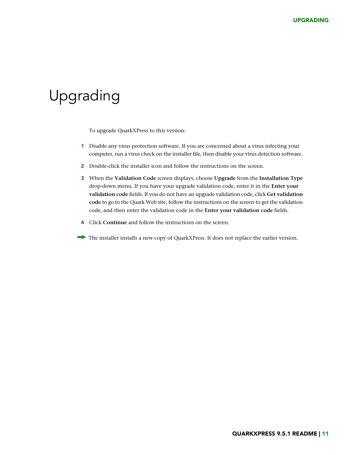# <span id="page-10-0"></span>Upgrading

To upgrade QuarkXPress to this version:

- 1 Disable any virus protection software. If you are concerned about a virus infecting your computer, run a virus check on the installer file, then disable your virus detection software.
- 2 Double-click the installer icon and follow the instructions on the screen.
- 3 When the **Validation Code** screen displays, choose **Upgrade** from the **Installation Type** drop-down menu. If you have your upgrade validation code, enter it in the **Enter your validation code** fields. If you do not have an upgrade validation code, click **Get validation code** to go to the Quark Web site, follow the instructions on the screen to get the validation code, and then enter the validation code in the **Enter your validation code** fields.
- 4 Click **Continue** and follow the instructions on the screen.
- The installer installs a new copy of QuarkXPress. It does not replace the earlier version.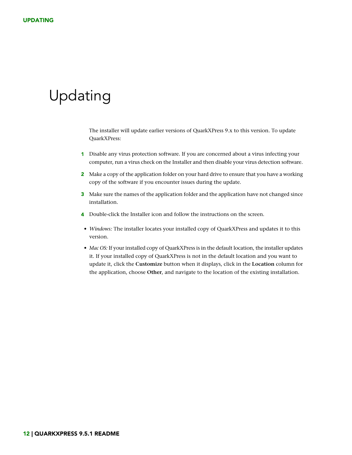# <span id="page-11-0"></span>Updating

The installer will update earlier versions of QuarkXPress 9.x to this version. To update QuarkXPress:

- 1 Disable any virus protection software. If you are concerned about a virus infecting your computer, run a virus check on the Installer and then disable your virus detection software.
- 2 Make a copy of the application folder on your hard drive to ensure that you have a working copy of the software if you encounter issues during the update.
- 3 Make sure the names of the application folder and the application have not changed since installation.
- 4 Double-click the Installer icon and follow the instructions on the screen.
- *Windows:* The installer locates your installed copy of QuarkXPress and updates it to this version.
- *Mac OS:* If your installed copy of QuarkXPress is in the default location, the installer updates it. If your installed copy of QuarkXPress is not in the default location and you want to update it, click the **Customize** button when it displays, click in the **Location** column for the application, choose **Other**, and navigate to the location of the existing installation.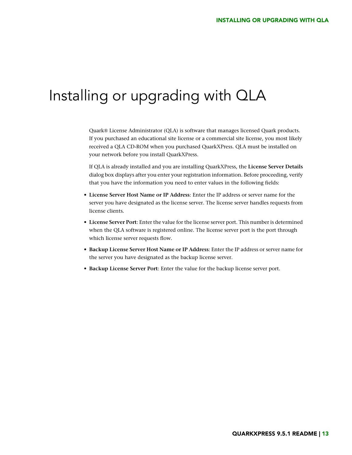### <span id="page-12-0"></span>Installing or upgrading with QLA

Quark® License Administrator (QLA) is software that manages licensed Quark products. If you purchased an educational site license or a commercial site license, you most likely received a QLA CD-ROM when you purchased QuarkXPress. QLA must be installed on your network before you install QuarkXPress.

If QLA is already installed and you are installing QuarkXPress, the **License Server Details** dialog box displays after you enter your registration information. Before proceeding, verify that you have the information you need to enter values in the following fields:

- **License Server Host Name or IP Address**: Enter the IP address or server name for the server you have designated as the license server. The license server handles requests from license clients.
- **License Server Port**: Enter the value for the license server port. This number is determined when the QLA software is registered online. The license server port is the port through which license server requests flow.
- **Backup License Server Host Name or IP Address**: Enter the IP address or server name for the server you have designated as the backup license server.
- **Backup License Server Port**: Enter the value for the backup license server port.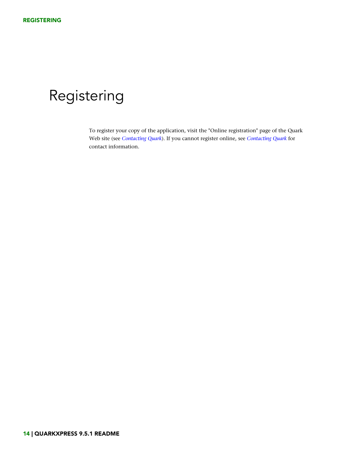# <span id="page-13-0"></span>Registering

To register your copy of the application, visit the "Online registration" page of the Quark Web site (see *[Contacting Quark](#page-18-0)*). If you cannot register online, see *[Contacting Quark](#page-18-0)* for contact information.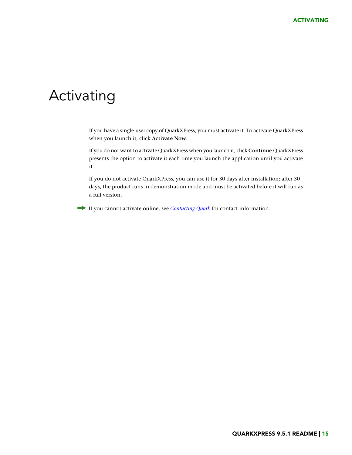### <span id="page-14-0"></span>Activating

If you have a single-user copy of QuarkXPress, you must activate it. To activate QuarkXPress when you launch it, click **Activate Now**.

If you do not want to activate QuarkXPress when you launch it, click **Continue**.QuarkXPress presents the option to activate it each time you launch the application until you activate it.

If you do not activate QuarkXPress, you can use it for 30 days after installation; after 30 days, the product runs in demonstration mode and must be activated before it will run as a full version.

If you cannot activate online, see *[Contacting Quark](#page-18-0)* for contact information.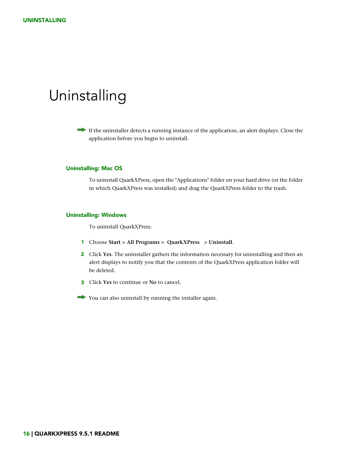### <span id="page-15-0"></span>Uninstalling

If the uninstaller detects a running instance of the application, an alert displays. Close the application before you begin to uninstall.

#### <span id="page-15-1"></span>Uninstalling: Mac OS

To uninstall QuarkXPress, open the "Applications" folder on your hard drive (or the folder in which QuarkXPress was installed) and drag the QuarkXPress folder to the trash.

#### <span id="page-15-2"></span>Uninstalling: Windows

To uninstall QuarkXPress:

- 1 Choose **Start > All Programs > QuarkXPress > Uninstall**.
- 2 Click **Yes**. The uninstaller gathers the information necessary for uninstalling and then an alert displays to notify you that the contents of the QuarkXPress application folder will be deleted.
- 3 Click **Yes** to continue or **No** to cancel.
- You can also uninstall by running the installer again.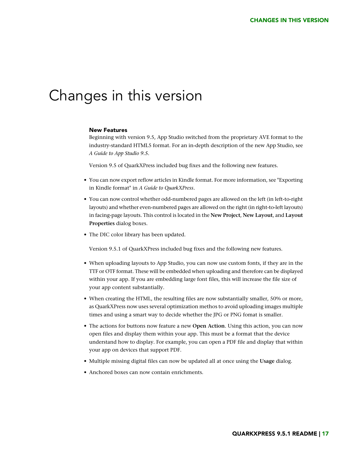### <span id="page-16-0"></span>Changes in this version

#### New Features

Beginning with version 9.5, App Studio switched from the proprietary AVE format to the industry-standard HTML5 format. For an in-depth description of the new App Studio, see *A Guide to App Studio 9.5*.

Version 9.5 of QuarkXPress included bug fixes and the following new features.

- You can now export reflow articles in Kindle format. For more information, see "Exporting in Kindle format" in *A Guide to QuarkXPress*.
- You can now control whether odd-numbered pages are allowed on the left (in left-to-right layouts) and whether even-numbered pages are allowed on the right (in right-to-left layouts) in facing-page layouts. This control is located in the **New Project**, **New Layout**, and **Layout Properties** dialog boxes.
- The DIC color library has been updated.

Version 9.5.1 of QuarkXPress included bug fixes and the following new features.

- When uploading layouts to App Studio, you can now use custom fonts, if they are in the TTF or OTF format. These will be embedded when uploading and therefore can be displayed within your app. If you are embedding large font files, this will increase the file size of your app content substantially.
- When creating the HTML, the resulting files are now substantially smaller, 50% or more, as QuarkXPress now uses several optimization methos to avoid uploading images multiple times and using a smart way to decide whether the JPG or PNG fomat is smaller.
- The actions for buttons now feature a new **Open Action**. Using this action, you can now open files and display them within your app. This must be a format that the device understand how to display. For example, you can open a PDF file and display that within your app on devices that support PDF.
- Multiple missing digital files can now be updated all at once using the **Usage** dialog.
- Anchored boxes can now contain enrichments.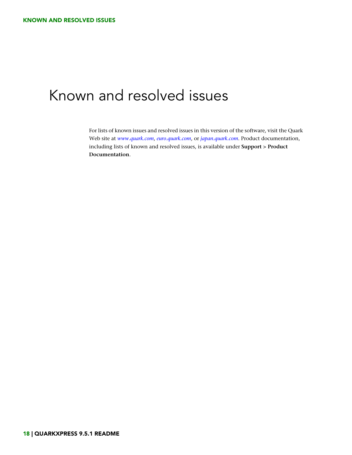# <span id="page-17-0"></span>Known and resolved issues

For lists of known issues and resolved issues in this version of the software, visit the Quark Web site at *[www.quark.com](http://www.quark.com)*, *[euro.quark.com](http://euro.quark.com)*, or *[japan.quark.com](http://japan.quark.com)*. Product documentation, including lists of known and resolved issues, is available under **Support > Product Documentation**.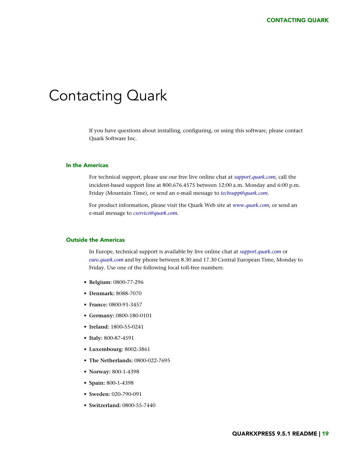### <span id="page-18-0"></span>Contacting Quark

If you have questions about installing, configuring, or using this software, please contact Quark Software Inc.

#### <span id="page-18-1"></span>In the Americas

For technical support, please use our free live online chat at *[support.quark.com](http://support.quark.com)*, call the incident-based support line at 800.676.4575 between 12:00 a.m. Monday and 6:00 p.m. Friday (Mountain Time), or send an e-mail message to *[techsupp@quark.com](mailto:techsupp@quark.com)*.

For product information, please visit the Quark Web site at *[www.quark.com](http://www.quark.com)*, or send an e-mail message to *[cservice@quark.com](mailto:cservice@quark.com)*.

#### <span id="page-18-2"></span>Outside the Americas

In Europe, technical support is available by live online chat at *[support.quark.com](http://support.quark.com)* or *[euro.quark.com](http://euro.quark.com)* and by phone between 8.30 and 17.30 Central European Time, Monday to Friday. Use one of the following local toll-free numbers:

- **Belgium:** 0800-77-296
- **Denmark:** 8088-7070
- **France:** 0800-91-3457
- **Germany:** 0800-180-0101
- **Ireland:** 1800-55-0241
- **Italy:** 800-87-4591
- **Luxembourg:** 8002-3861
- **The Netherlands:** 0800-022-7695
- **Norway:** 800-1-4398
- **Spain:** 800-1-4398
- **Sweden:** 020-790-091
- **Switzerland:** 0800-55-7440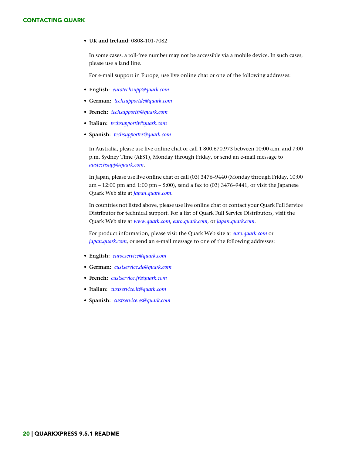#### CONTACTING QUARK

• **UK and Ireland:** 0808-101-7082

In some cases, a toll-free number may not be accessible via a mobile device. In such cases, please use a land line.

For e-mail support in Europe, use live online chat or one of the following addresses:

- **English:** *[eurotechsupp@quark.com](mailto:eurotechsupp@quark.com)*
- **German:** *[techsupportde@quark.com](mailto:techsupportde@quark.com)*
- **French:** *[techsupportfr@quark.com](mailto:techsupportfr@quark.com)*
- **Italian:** *[techsupportit@quark.com](mailto:techsupportit@quark.com)*
- **Spanish:** *[techsupportes@quark.com](mailto:techsupportes@quark.com)*

In Australia, please use live online chat or call 1 800.670.973 between 10:00 a.m. and 7:00 p.m. Sydney Time (AEST), Monday through Friday, or send an e-mail message to *[austechsupp@quark.com](mailto:austechsupp@quark.com)*.

In Japan, please use live online chat or call (03) 3476–9440 (Monday through Friday, 10:00 am – 12:00 pm and 1:00 pm – 5:00), send a fax to (03) 3476–9441, or visit the Japanese Quark Web site at *[japan.quark.com](http://japan.quark.com)*.

In countries not listed above, please use live online chat or contact your Quark Full Service Distributor for technical support. For a list of Quark Full Service Distributors, visit the Quark Web site at *[www.quark.com](http://www.quark.com)*, *[euro.quark.com](http://euro.quark.com)*, or *[japan.quark.com](http://japan.quark.com)*.

For product information, please visit the Quark Web site at *[euro.quark.com](http://euro.quark.com)* or *[japan.quark.com](http://japan.quark.com)*, or send an e-mail message to one of the following addresses:

- **English:** *[eurocservice@quark.com](mailto:eurocservice@quark.com)*
- **German:** *[custservice.de@quark.com](mailto:custservice.de@quark.com)*
- **French:** *[custservice.fr@quark.com](mailto:custservice.fr@quark.com)*
- **Italian:** *[custservice.it@quark.com](mailto:custservice.it@quark.com)*
- **Spanish:** *[custservice.es@quark.com](mailto:custservice.es@quark.com)*